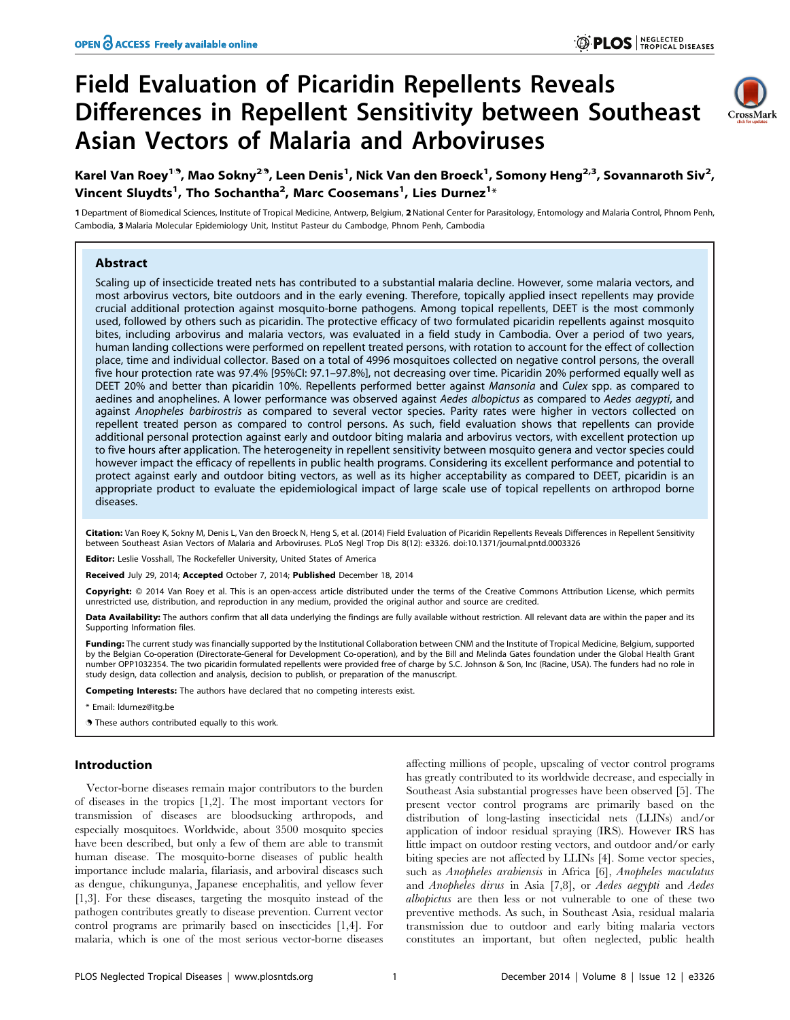# Field Evaluation of Picaridin Repellents Reveals Differences in Repellent Sensitivity between Southeast Asian Vectors of Malaria and Arboviruses



Karel Van Roey<sup>19</sup>, Mao Sokny<sup>29</sup>, Leen Denis<sup>1</sup>, Nick Van den Broeck<sup>1</sup>, Somony Heng<sup>2,3</sup>, Sovannaroth Siv<sup>2</sup>, Vincent Sluydts<sup>1</sup>, Tho Sochantha<sup>2</sup>, Marc Coosemans<sup>1</sup>, Lies Durnez<sup>1</sup>\*

1 Department of Biomedical Sciences, Institute of Tropical Medicine, Antwerp, Belgium, 2 National Center for Parasitology, Entomology and Malaria Control, Phnom Penh, Cambodia, 3 Malaria Molecular Epidemiology Unit, Institut Pasteur du Cambodge, Phnom Penh, Cambodia

# Abstract

Scaling up of insecticide treated nets has contributed to a substantial malaria decline. However, some malaria vectors, and most arbovirus vectors, bite outdoors and in the early evening. Therefore, topically applied insect repellents may provide crucial additional protection against mosquito-borne pathogens. Among topical repellents, DEET is the most commonly used, followed by others such as picaridin. The protective efficacy of two formulated picaridin repellents against mosquito bites, including arbovirus and malaria vectors, was evaluated in a field study in Cambodia. Over a period of two years, human landing collections were performed on repellent treated persons, with rotation to account for the effect of collection place, time and individual collector. Based on a total of 4996 mosquitoes collected on negative control persons, the overall five hour protection rate was 97.4% [95%CI: 97.1–97.8%], not decreasing over time. Picaridin 20% performed equally well as DEET 20% and better than picaridin 10%. Repellents performed better against Mansonia and Culex spp. as compared to aedines and anophelines. A lower performance was observed against Aedes albopictus as compared to Aedes aegypti, and against Anopheles barbirostris as compared to several vector species. Parity rates were higher in vectors collected on repellent treated person as compared to control persons. As such, field evaluation shows that repellents can provide additional personal protection against early and outdoor biting malaria and arbovirus vectors, with excellent protection up to five hours after application. The heterogeneity in repellent sensitivity between mosquito genera and vector species could however impact the efficacy of repellents in public health programs. Considering its excellent performance and potential to protect against early and outdoor biting vectors, as well as its higher acceptability as compared to DEET, picaridin is an appropriate product to evaluate the epidemiological impact of large scale use of topical repellents on arthropod borne diseases.

Citation: Van Roey K, Sokny M, Denis L, Van den Broeck N, Heng S, et al. (2014) Field Evaluation of Picaridin Repellents Reveals Differences in Repellent Sensitivity between Southeast Asian Vectors of Malaria and Arboviruses. PLoS Negl Trop Dis 8(12): e3326. doi:10.1371/journal.pntd.0003326

Editor: Leslie Vosshall, The Rockefeller University, United States of America

Received July 29, 2014; Accepted October 7, 2014; Published December 18, 2014

Copyright: © 2014 Van Roey et al. This is an open-access article distributed under the terms of the [Creative Commons Attribution License](http://creativecommons.org/licenses/by/4.0/), which permits unrestricted use, distribution, and reproduction in any medium, provided the original author and source are credited.

Data Availability: The authors confirm that all data underlying the findings are fully available without restriction. All relevant data are within the paper and its Supporting Information files.

Funding: The current study was financially supported by the Institutional Collaboration between CNM and the Institute of Tropical Medicine, Belgium, supported by the Belgian Co-operation (Directorate-General for Development Co-operation), and by the Bill and Melinda Gates foundation under the Global Health Grant number OPP1032354. The two picaridin formulated repellents were provided free of charge by S.C. Johnson & Son, Inc (Racine, USA). The funders had no role in study design, data collection and analysis, decision to publish, or preparation of the manuscript.

Competing Interests: The authors have declared that no competing interests exist.

\* Email: ldurnez@itg.be

. These authors contributed equally to this work.

# Introduction

Vector-borne diseases remain major contributors to the burden of diseases in the tropics [1,2]. The most important vectors for transmission of diseases are bloodsucking arthropods, and especially mosquitoes. Worldwide, about 3500 mosquito species have been described, but only a few of them are able to transmit human disease. The mosquito-borne diseases of public health importance include malaria, filariasis, and arboviral diseases such as dengue, chikungunya, Japanese encephalitis, and yellow fever [1,3]. For these diseases, targeting the mosquito instead of the pathogen contributes greatly to disease prevention. Current vector control programs are primarily based on insecticides [1,4]. For malaria, which is one of the most serious vector-borne diseases

affecting millions of people, upscaling of vector control programs has greatly contributed to its worldwide decrease, and especially in Southeast Asia substantial progresses have been observed [5]. The present vector control programs are primarily based on the distribution of long-lasting insecticidal nets (LLINs) and/or application of indoor residual spraying (IRS). However IRS has little impact on outdoor resting vectors, and outdoor and/or early biting species are not affected by LLINs [4]. Some vector species, such as Anopheles arabiensis in Africa [6], Anopheles maculatus and Anopheles dirus in Asia [7,8], or Aedes aegypti and Aedes albopictus are then less or not vulnerable to one of these two preventive methods. As such, in Southeast Asia, residual malaria transmission due to outdoor and early biting malaria vectors constitutes an important, but often neglected, public health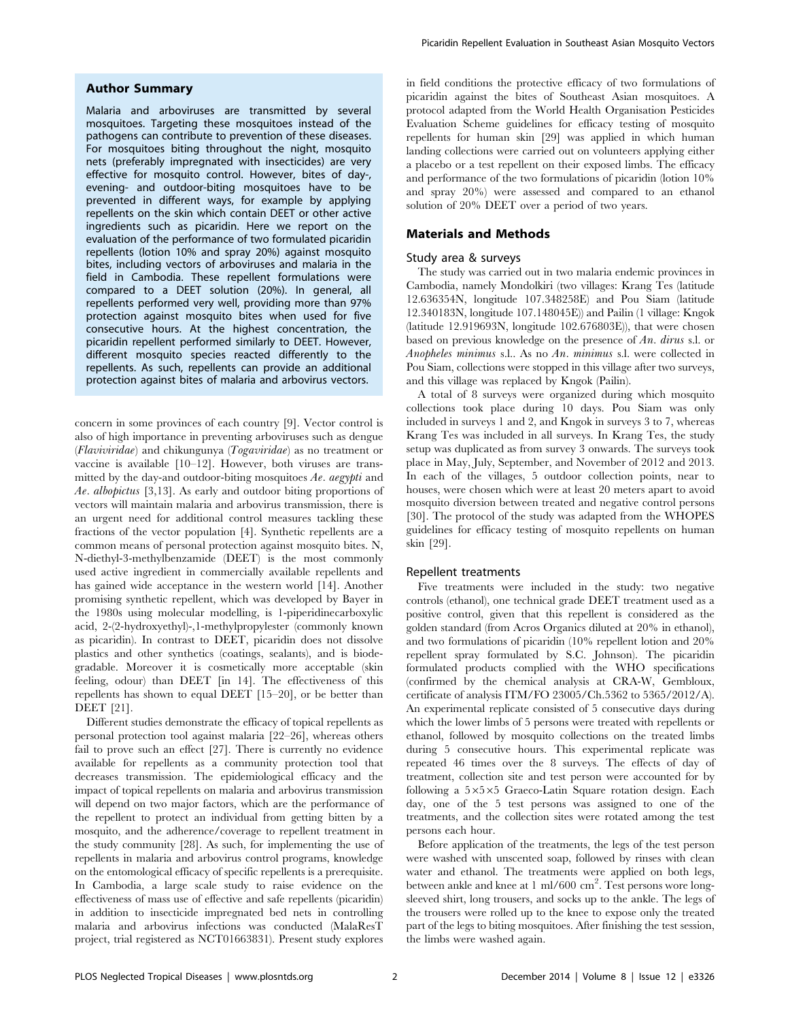#### Author Summary

Malaria and arboviruses are transmitted by several mosquitoes. Targeting these mosquitoes instead of the pathogens can contribute to prevention of these diseases. For mosquitoes biting throughout the night, mosquito nets (preferably impregnated with insecticides) are very effective for mosquito control. However, bites of day-, evening- and outdoor-biting mosquitoes have to be prevented in different ways, for example by applying repellents on the skin which contain DEET or other active ingredients such as picaridin. Here we report on the evaluation of the performance of two formulated picaridin repellents (lotion 10% and spray 20%) against mosquito bites, including vectors of arboviruses and malaria in the field in Cambodia. These repellent formulations were compared to a DEET solution (20%). In general, all repellents performed very well, providing more than 97% protection against mosquito bites when used for five consecutive hours. At the highest concentration, the picaridin repellent performed similarly to DEET. However, different mosquito species reacted differently to the repellents. As such, repellents can provide an additional protection against bites of malaria and arbovirus vectors.

concern in some provinces of each country [9]. Vector control is also of high importance in preventing arboviruses such as dengue (Flaviviridae) and chikungunya (Togaviridae) as no treatment or vaccine is available [10–12]. However, both viruses are transmitted by the day-and outdoor-biting mosquitoes  $Ae$ . aegypti and Ae. albopictus [3,13]. As early and outdoor biting proportions of vectors will maintain malaria and arbovirus transmission, there is an urgent need for additional control measures tackling these fractions of the vector population [4]. Synthetic repellents are a common means of personal protection against mosquito bites. N, N-diethyl-3-methylbenzamide (DEET) is the most commonly used active ingredient in commercially available repellents and has gained wide acceptance in the western world [14]. Another promising synthetic repellent, which was developed by Bayer in the 1980s using molecular modelling, is 1-piperidinecarboxylic acid, 2-(2-hydroxyethyl)-,1-methylpropylester (commonly known as picaridin). In contrast to DEET, picaridin does not dissolve plastics and other synthetics (coatings, sealants), and is biodegradable. Moreover it is cosmetically more acceptable (skin feeling, odour) than DEET [in 14]. The effectiveness of this repellents has shown to equal DEET [15–20], or be better than DEET [21].

Different studies demonstrate the efficacy of topical repellents as personal protection tool against malaria [22–26], whereas others fail to prove such an effect [27]. There is currently no evidence available for repellents as a community protection tool that decreases transmission. The epidemiological efficacy and the impact of topical repellents on malaria and arbovirus transmission will depend on two major factors, which are the performance of the repellent to protect an individual from getting bitten by a mosquito, and the adherence/coverage to repellent treatment in the study community [28]. As such, for implementing the use of repellents in malaria and arbovirus control programs, knowledge on the entomological efficacy of specific repellents is a prerequisite. In Cambodia, a large scale study to raise evidence on the effectiveness of mass use of effective and safe repellents (picaridin) in addition to insecticide impregnated bed nets in controlling malaria and arbovirus infections was conducted (MalaResT project, trial registered as NCT01663831). Present study explores

in field conditions the protective efficacy of two formulations of picaridin against the bites of Southeast Asian mosquitoes. A protocol adapted from the World Health Organisation Pesticides Evaluation Scheme guidelines for efficacy testing of mosquito repellents for human skin [29] was applied in which human landing collections were carried out on volunteers applying either a placebo or a test repellent on their exposed limbs. The efficacy and performance of the two formulations of picaridin (lotion 10% and spray 20%) were assessed and compared to an ethanol solution of 20% DEET over a period of two years.

#### Materials and Methods

#### Study area & surveys

The study was carried out in two malaria endemic provinces in Cambodia, namely Mondolkiri (two villages: Krang Tes (latitude 12.636354N, longitude 107.348258E) and Pou Siam (latitude 12.340183N, longitude 107.148045E)) and Pailin (1 village: Kngok (latitude 12.919693N, longitude 102.676803E)), that were chosen based on previous knowledge on the presence of An. dirus s.l. or Anopheles minimus s.l.. As no An. minimus s.l. were collected in Pou Siam, collections were stopped in this village after two surveys, and this village was replaced by Kngok (Pailin).

A total of 8 surveys were organized during which mosquito collections took place during 10 days. Pou Siam was only included in surveys 1 and 2, and Kngok in surveys 3 to 7, whereas Krang Tes was included in all surveys. In Krang Tes, the study setup was duplicated as from survey 3 onwards. The surveys took place in May, July, September, and November of 2012 and 2013. In each of the villages, 5 outdoor collection points, near to houses, were chosen which were at least 20 meters apart to avoid mosquito diversion between treated and negative control persons [30]. The protocol of the study was adapted from the WHOPES guidelines for efficacy testing of mosquito repellents on human skin [29].

#### Repellent treatments

Five treatments were included in the study: two negative controls (ethanol), one technical grade DEET treatment used as a positive control, given that this repellent is considered as the golden standard (from Acros Organics diluted at 20% in ethanol), and two formulations of picaridin (10% repellent lotion and 20% repellent spray formulated by S.C. Johnson). The picaridin formulated products complied with the WHO specifications (confirmed by the chemical analysis at CRA-W, Gembloux, certificate of analysis ITM/FO 23005/Ch.5362 to 5365/2012/A). An experimental replicate consisted of 5 consecutive days during which the lower limbs of 5 persons were treated with repellents or ethanol, followed by mosquito collections on the treated limbs during 5 consecutive hours. This experimental replicate was repeated 46 times over the 8 surveys. The effects of day of treatment, collection site and test person were accounted for by following a  $5\times5\times5$  Graeco-Latin Square rotation design. Each day, one of the 5 test persons was assigned to one of the treatments, and the collection sites were rotated among the test persons each hour.

Before application of the treatments, the legs of the test person were washed with unscented soap, followed by rinses with clean water and ethanol. The treatments were applied on both legs, between ankle and knee at 1 ml/600 cm<sup>2</sup>. Test persons wore longsleeved shirt, long trousers, and socks up to the ankle. The legs of the trousers were rolled up to the knee to expose only the treated part of the legs to biting mosquitoes. After finishing the test session, the limbs were washed again.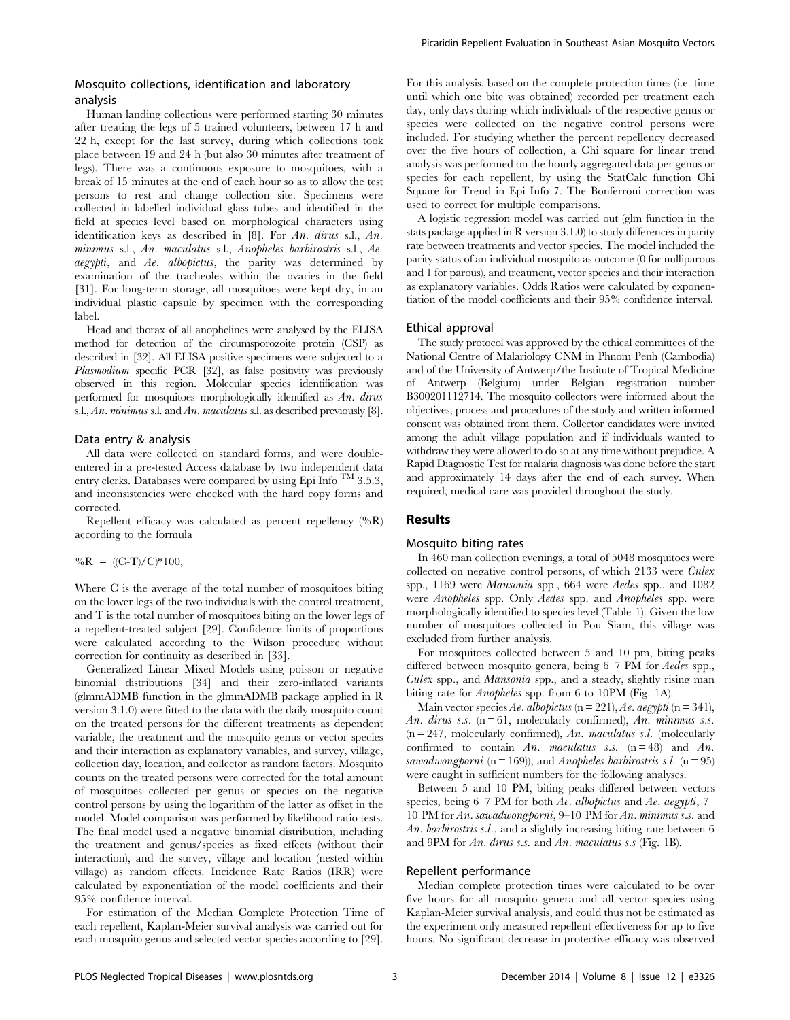# Mosquito collections, identification and laboratory analysis

Human landing collections were performed starting 30 minutes after treating the legs of 5 trained volunteers, between 17 h and 22 h, except for the last survey, during which collections took place between 19 and 24 h (but also 30 minutes after treatment of legs). There was a continuous exposure to mosquitoes, with a break of 15 minutes at the end of each hour so as to allow the test persons to rest and change collection site. Specimens were collected in labelled individual glass tubes and identified in the field at species level based on morphological characters using identification keys as described in [8]. For An. dirus s.l., An. minimus s.l., An. maculatus s.l., Anopheles barbirostris s.l., Ae.  $aegypti$ , and Ae. albopictus, the parity was determined by examination of the tracheoles within the ovaries in the field [31]. For long-term storage, all mosquitoes were kept dry, in an individual plastic capsule by specimen with the corresponding label.

Head and thorax of all anophelines were analysed by the ELISA method for detection of the circumsporozoite protein (CSP) as described in [32]. All ELISA positive specimens were subjected to a Plasmodium specific PCR [32], as false positivity was previously observed in this region. Molecular species identification was performed for mosquitoes morphologically identified as An. dirus s.l., An. minimus s.l. and An. maculatus s.l. as described previously [8].

#### Data entry & analysis

All data were collected on standard forms, and were doubleentered in a pre-tested Access database by two independent data entry clerks. Databases were compared by using Epi Info $^{\rm TM}$  3.5.3, and inconsistencies were checked with the hard copy forms and corrected.

Repellent efficacy was calculated as percent repellency (%R) according to the formula

 $\%R = ((C-T)/C)*100,$ 

Where C is the average of the total number of mosquitoes biting on the lower legs of the two individuals with the control treatment, and T is the total number of mosquitoes biting on the lower legs of a repellent-treated subject [29]. Confidence limits of proportions were calculated according to the Wilson procedure without correction for continuity as described in [33].

Generalized Linear Mixed Models using poisson or negative binomial distributions [34] and their zero-inflated variants (glmmADMB function in the glmmADMB package applied in R version 3.1.0) were fitted to the data with the daily mosquito count on the treated persons for the different treatments as dependent variable, the treatment and the mosquito genus or vector species and their interaction as explanatory variables, and survey, village, collection day, location, and collector as random factors. Mosquito counts on the treated persons were corrected for the total amount of mosquitoes collected per genus or species on the negative control persons by using the logarithm of the latter as offset in the model. Model comparison was performed by likelihood ratio tests. The final model used a negative binomial distribution, including the treatment and genus/species as fixed effects (without their interaction), and the survey, village and location (nested within village) as random effects. Incidence Rate Ratios (IRR) were calculated by exponentiation of the model coefficients and their 95% confidence interval.

For estimation of the Median Complete Protection Time of each repellent, Kaplan-Meier survival analysis was carried out for each mosquito genus and selected vector species according to [29]. For this analysis, based on the complete protection times (i.e. time until which one bite was obtained) recorded per treatment each day, only days during which individuals of the respective genus or species were collected on the negative control persons were included. For studying whether the percent repellency decreased over the five hours of collection, a Chi square for linear trend analysis was performed on the hourly aggregated data per genus or species for each repellent, by using the StatCalc function Chi Square for Trend in Epi Info 7. The Bonferroni correction was used to correct for multiple comparisons.

A logistic regression model was carried out (glm function in the stats package applied in R version 3.1.0) to study differences in parity rate between treatments and vector species. The model included the parity status of an individual mosquito as outcome (0 for nulliparous and 1 for parous), and treatment, vector species and their interaction as explanatory variables. Odds Ratios were calculated by exponentiation of the model coefficients and their 95% confidence interval.

#### Ethical approval

The study protocol was approved by the ethical committees of the National Centre of Malariology CNM in Phnom Penh (Cambodia) and of the University of Antwerp/the Institute of Tropical Medicine of Antwerp (Belgium) under Belgian registration number B300201112714. The mosquito collectors were informed about the objectives, process and procedures of the study and written informed consent was obtained from them. Collector candidates were invited among the adult village population and if individuals wanted to withdraw they were allowed to do so at any time without prejudice. A Rapid Diagnostic Test for malaria diagnosis was done before the start and approximately 14 days after the end of each survey. When required, medical care was provided throughout the study.

#### Results

#### Mosquito biting rates

In 460 man collection evenings, a total of 5048 mosquitoes were collected on negative control persons, of which 2133 were Culex spp., 1169 were Mansonia spp., 664 were Aedes spp., and 1082 were Anopheles spp. Only Aedes spp. and Anopheles spp. were morphologically identified to species level (Table 1). Given the low number of mosquitoes collected in Pou Siam, this village was excluded from further analysis.

For mosquitoes collected between 5 and 10 pm, biting peaks differed between mosquito genera, being 6–7 PM for Aedes spp., Culex spp., and Mansonia spp., and a steady, slightly rising man biting rate for Anopheles spp. from 6 to 10PM (Fig. 1A).

Main vector species Ae. albopictus (n = 221), Ae. aegypti (n = 341), An. dirus s.s.  $(n=61,$  molecularly confirmed), An. minimus s.s.  $(n = 247,$  molecularly confirmed), An. maculatus s.l. (molecularly confirmed to contain An. maculatus s.s.  $(n = 48)$  and An. sawadwongporni ( $n = 169$ )), and Anopheles barbirostris s.l. ( $n = 95$ ) were caught in sufficient numbers for the following analyses.

Between 5 and 10 PM, biting peaks differed between vectors species, being  $6-7$  PM for both Ae. albopictus and Ae. aegypti,  $7-$ 10 PM for An. sawadwongporni, 9–10 PM for An. minimus s.s. and An. barbirostris s.l., and a slightly increasing biting rate between 6 and 9PM for An. dirus s.s. and An. maculatus s.s (Fig. 1B).

#### Repellent performance

Median complete protection times were calculated to be over five hours for all mosquito genera and all vector species using Kaplan-Meier survival analysis, and could thus not be estimated as the experiment only measured repellent effectiveness for up to five hours. No significant decrease in protective efficacy was observed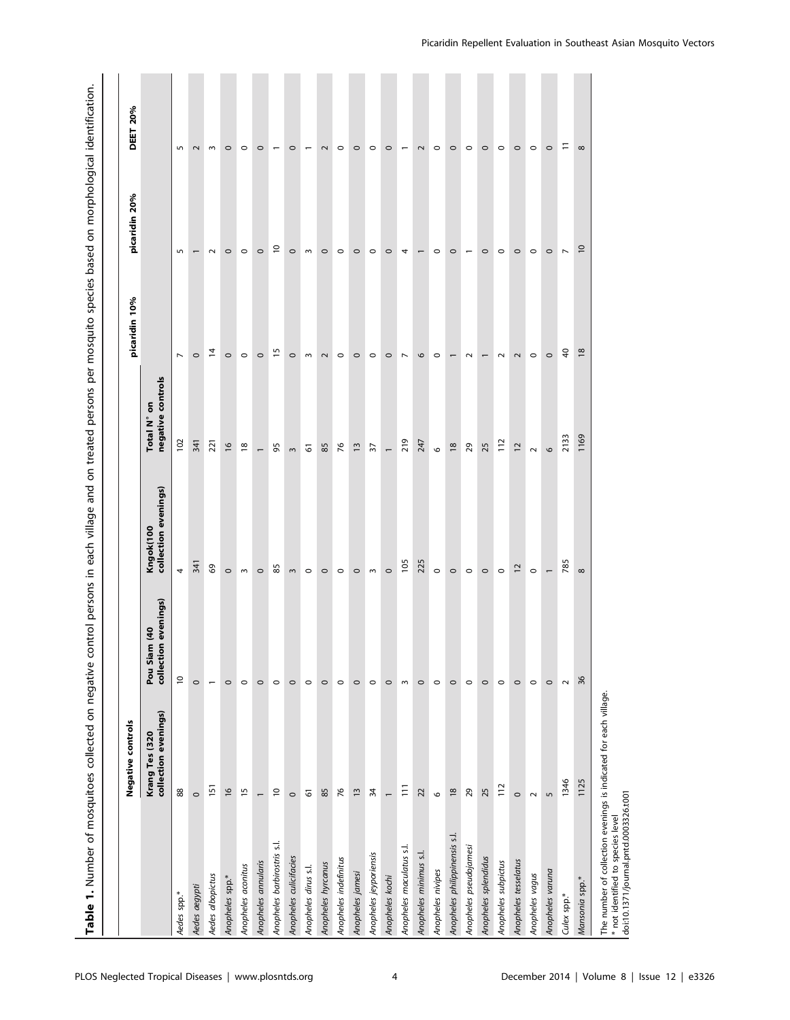|                               | Negative controls                      |                                      |                                   |                                    | picaridin 10%            | picaridin 20%             | 20%<br><b>DEET</b>       |
|-------------------------------|----------------------------------------|--------------------------------------|-----------------------------------|------------------------------------|--------------------------|---------------------------|--------------------------|
|                               | collection evenings)<br>Krang Tes (320 | Pou Siam (40<br>collection evenings) | collection evenings)<br>Kngok(100 | negative controls<br>δ<br>Total N° |                          |                           |                          |
| Aedes spp.*                   | $_{88}$                                | $\mathop{=}$                         | 4                                 | 102                                | $\overline{ }$           | 5                         | 5                        |
| Aedes aegypti                 | $\circ$                                | $\circ$                              | $\frac{1}{2}$                     | 341                                | $\circ$                  | $\overline{ }$            | $\sim$                   |
| Aedes albopictus              | 151                                    | $\overline{\phantom{0}}$             | 69                                | 221                                | $\overline{4}$           | $\sim$                    | $\sim$                   |
| Anopheles spp.*               | $\overline{16}$                        | $\circ$                              | $\circ$                           | $\frac{6}{2}$                      | $\circ$                  | $\circ$                   | $\circ$                  |
| Anopheles aconitus            | 15                                     | $\circ$                              | $\,$ m $\,$                       | $\frac{8}{16}$                     | $\circ$                  | $\circ$                   | $\circ$                  |
| Anopheles annularis           | $\overline{\phantom{0}}$               | $\circ$                              | $\circ$                           | $\overline{\phantom{0}}$           | $\circ$                  | $\circ$                   | $\circ$                  |
| Anopheles barbirostris s.l.   | $\overline{10}$                        | $\circ$                              | 85                                | 95                                 | 15                       | $\overline{c}$            | $\overline{\phantom{m}}$ |
| Anopheles culicifacies        | $\circ$                                | $\circ$                              | $\sim$                            | $\sim$                             | $\circ$                  | $\circ$                   | $\circ$                  |
| Anopheles dirus s.l.          | $\overline{\bullet}$                   | $\circ$                              | $\circ$                           | 5                                  | $\,$ $\,$                | $\boldsymbol{\mathsf{c}}$ | $\overline{\phantom{0}}$ |
| Anopheles hyrcanus            | 85                                     | $\circ$                              | $\circ$                           | 85                                 | $\sim$                   | $\circ$                   | $\sim$                   |
| Anopheles indefinitus         | $\overline{76}$                        | $\circ$                              | $\circ$                           | 76                                 | $\circ$                  | $\circ$                   | $\circ$                  |
| Anopheles jamesi              | $\overline{1}$                         | $\circ$                              | $\circ$                           | $\frac{13}{2}$                     | $\circ$                  | $\circ$                   | $\circ$                  |
| Anopheles jeyporiensis        | 34                                     | $\circ$                              | $\,$ $\,$                         | $\overline{5}$                     | $\circ$                  | $\circ$                   | $\circ$                  |
| Anopheles kochi               | $\overline{ }$                         | $\circ$                              | $\circ$                           | $\overline{ }$                     | $\circ$                  | $\circ$                   | $\circ$                  |
| Anopheles maculatus s.l.      | $\overline{11}$                        | $\sim$                               | 105                               | 219                                | $\overline{ }$           | 4                         | $\overline{\phantom{m}}$ |
| Anopheles minimus s.l         | 22                                     | $\circ$                              | 225                               | 247                                | $\circ$                  | $\overline{\phantom{m}}$  | $\sim$                   |
| Anopheles nivipes             | $\circ$                                | $\circ$                              | $\circ$                           | $\circ$                            | $\circ$                  | $\circ$                   | $\circ$                  |
| Anopheles philippinensis s.l. | 18                                     | $\circ$                              | $\circ$                           | $\frac{8}{2}$                      | $\overline{\phantom{0}}$ | $\circ$                   | $\circ$                  |
| Anopheles pseudojamesi        | 29                                     | $\circ$                              | $\circ$                           | 29                                 | $\sim$                   | $\overline{\phantom{m}}$  | $\circ$                  |
| Anopheles splendidus          | 25                                     | $\circ$                              | $\circ$                           | 25                                 | $\overline{\phantom{0}}$ | $\circ$                   | $\circ$                  |
| Anopheles subpictus           | 112                                    | $\circ$                              | $\circ$                           | 112                                | $\sim$                   | $\circ$                   | $\circ$                  |
| Anopheles tesselatus          | $\circ$                                | $\circ$                              | $\overline{c}$                    | $\overline{c}$                     | $\sim$                   | $\circ$                   | $\circ$                  |
| Anopheles vagus               | $\sim$                                 | $\circ$                              | $\circ$                           | $\sim$                             | $\circ$                  | $\circ$                   | $\circ$                  |
| Anopheles varuna              | $\mathsf{L}\cap$                       | $\circ$                              |                                   | $\circ$                            | $\circ$                  | $\circ$                   | $\circ$                  |
| Culex spp.*                   | 1346                                   | $\sim$                               | 785                               | 2133                               | $\overline{4}$           | $\overline{ }$            | $\frac{1}{\sqrt{2}}$     |
| Mansonia spp.*                | 1125                                   | 36                                   | $\infty$                          | 1169                               | 18                       | $\overline{c}$            | $\infty$                 |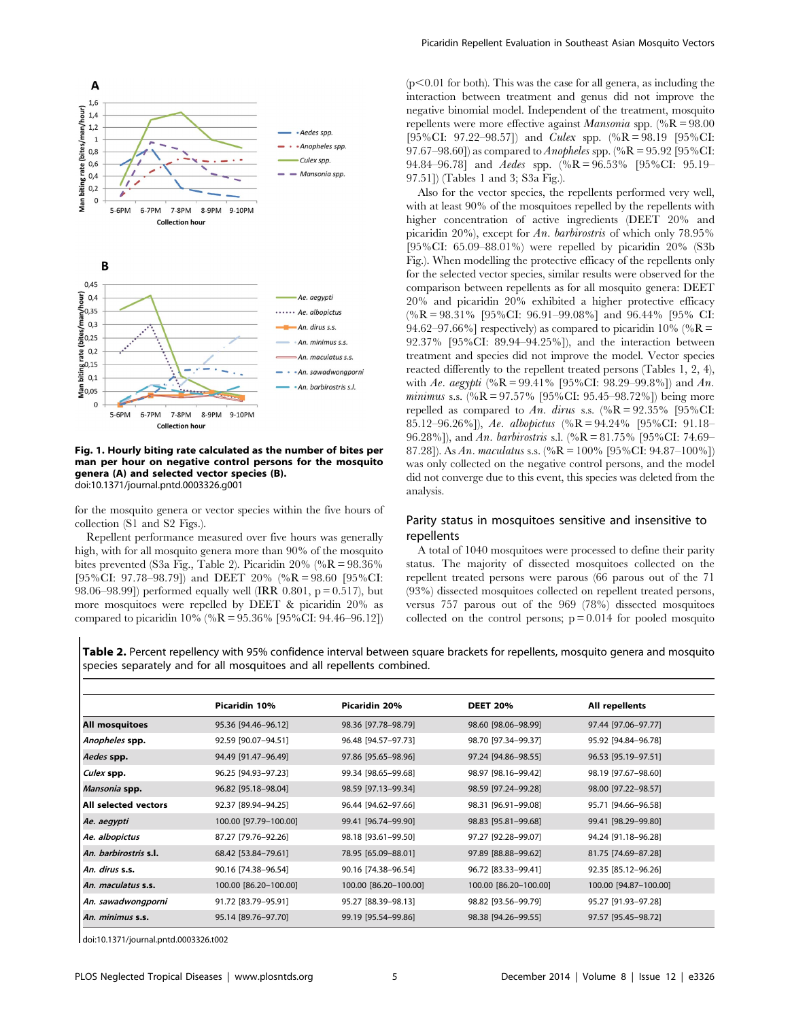

Fig. 1. Hourly biting rate calculated as the number of bites per man per hour on negative control persons for the mosquito genera (A) and selected vector species (B). doi:10.1371/journal.pntd.0003326.g001

for the mosquito genera or vector species within the five hours of collection (S1 and S2 Figs.).

Repellent performance measured over five hours was generally high, with for all mosquito genera more than 90% of the mosquito bites prevented (S3a Fig., Table 2). Picaridin 20% (%R = 98.36% [95%CI: 97.78–98.79]) and DEET 20% (%R = 98.60 [95%CI: 98.06–98.99]) performed equally well (IRR 0.801,  $p = 0.517$ ), but more mosquitoes were repelled by DEET & picaridin 20% as compared to picaridin 10% (% $R = 95.36\%$  [95%CI: 94.46–96.12])  $(p<0.01$  for both). This was the case for all genera, as including the interaction between treatment and genus did not improve the negative binomial model. Independent of the treatment, mosquito repellents were more effective against *Mansonia* spp.  $\sqrt{6R} = 98.00$ [95%CI: 97.22–98.57]) and Culex spp. (%R = 98.19 [95%CI: 97.67–98.60]) as compared to *Anopheles* spp. (% $R = 95.92$  [95%CI: 94.84–96.78] and Aedes spp. (%R = 96.53% [95%CI: 95.19– 97.51]) (Tables 1 and 3; S3a Fig.).

Also for the vector species, the repellents performed very well, with at least 90% of the mosquitoes repelled by the repellents with higher concentration of active ingredients (DEET 20% and picaridin 20%), except for An. barbirostris of which only 78.95% [95%CI: 65.09–88.01%) were repelled by picaridin 20% (S3b Fig.). When modelling the protective efficacy of the repellents only for the selected vector species, similar results were observed for the comparison between repellents as for all mosquito genera: DEET 20% and picaridin 20% exhibited a higher protective efficacy (%R = 98.31% [95%CI: 96.91–99.08%] and 96.44% [95% CI: 94.62–97.66%] respectively) as compared to picaridin 10% (% $R =$ 92.37% [95%CI: 89.94–94.25%]), and the interaction between treatment and species did not improve the model. Vector species reacted differently to the repellent treated persons (Tables 1, 2, 4), with Ae. aegypti  $(\%R = 99.41\%$  [95%CI: 98.29–99.8%]) and An. minimus s.s. (%R = 97.57% [95%CI: 95.45–98.72%]) being more repelled as compared to An. dirus s.s.  $\sqrt{8}R = 92.35\%$  [95%CI: 85.12–96.26%]), Ae. albopictus (%R = 94.24% [95%CI: 91.18– 96.28%]), and An. barbirostris s.l. (%R = 81.75% [95%CI: 74.69– 87.28]). As An. maculatus s.s.  $(\%R = 100\%$  [95%CI: 94.87-100%]) was only collected on the negative control persons, and the model did not converge due to this event, this species was deleted from the analysis.

# Parity status in mosquitoes sensitive and insensitive to repellents

A total of 1040 mosquitoes were processed to define their parity status. The majority of dissected mosquitoes collected on the repellent treated persons were parous (66 parous out of the 71 (93%) dissected mosquitoes collected on repellent treated persons, versus 757 parous out of the 969 (78%) dissected mosquitoes collected on the control persons;  $p = 0.014$  for pooled mosquito

Table 2. Percent repellency with 95% confidence interval between square brackets for repellents, mosquito genera and mosquito species separately and for all mosquitoes and all repellents combined.

|                       | Picaridin 10%         | <b>Picaridin 20%</b>  | <b>DEET 20%</b>       | All repellents        |
|-----------------------|-----------------------|-----------------------|-----------------------|-----------------------|
| All mosquitoes        | 95.36 [94.46-96.12]   | 98.36 [97.78-98.79]   | 98.60 [98.06-98.99]   | 97.44 [97.06-97.77]   |
| Anopheles spp.        | 92.59 [90.07-94.51]   | 96.48 [94.57-97.73]   | 98.70 [97.34-99.37]   | 95.92 [94.84-96.78]   |
| Aedes spp.            | 94.49 [91.47-96.49]   | 97.86 [95.65-98.96]   | 97.24 [94.86-98.55]   | 96.53 [95.19-97.51]   |
| Culex spp.            | 96.25 [94.93-97.23]   | 99.34 [98.65-99.68]   | 98.97 [98.16-99.42]   | 98.19 [97.67-98.60]   |
| Mansonia spp.         | 96.82 [95.18-98.04]   | 98.59 [97.13-99.34]   | 98.59 [97.24-99.28]   | 98.00 [97.22-98.57]   |
| All selected vectors  | 92.37 [89.94-94.25]   | 96.44 [94.62-97.66]   | 98.31 [96.91-99.08]   | 95.71 [94.66-96.58]   |
| Ae. aegypti           | 100.00 [97.79-100.00] | 99.41 [96.74-99.90]   | 98.83 [95.81-99.68]   | 99.41 [98.29-99.80]   |
| Ae. albopictus        | 87.27 [79.76-92.26]   | 98.18 [93.61-99.50]   | 97.27 [92.28-99.07]   | 94.24 [91.18-96.28]   |
| An. barbirostris s.l. | 68.42 [53.84-79.61]   | 78.95 [65.09-88.01]   | 97.89 [88.88-99.62]   | 81.75 [74.69-87.28]   |
| An. dirus s.s.        | 90.16 [74.38-96.54]   | 90.16 [74.38-96.54]   | 96.72 [83.33-99.41]   | 92.35 [85.12-96.26]   |
| An. maculatus s.s.    | 100.00 [86.20-100.00] | 100.00 [86.20-100.00] | 100.00 [86.20-100.00] | 100.00 [94.87-100.00] |
| An. sawadwongporni    | 91.72 [83.79-95.91]   | 95.27 [88.39-98.13]   | 98.82 [93.56-99.79]   | 95.27 [91.93-97.28]   |
| An. minimus s.s.      | 95.14 [89.76-97.70]   | 99.19 [95.54-99.86]   | 98.38 [94.26-99.55]   | 97.57 [95.45-98.72]   |

doi:10.1371/journal.pntd.0003326.t002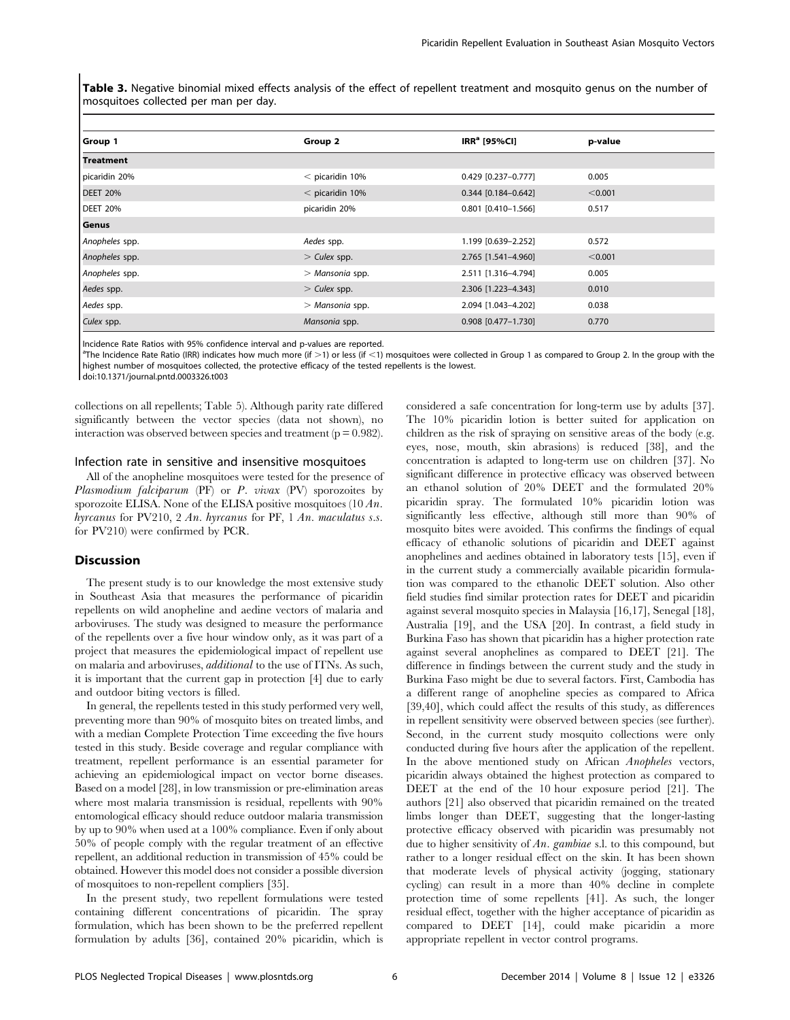Table 3. Negative binomial mixed effects analysis of the effect of repellent treatment and mosquito genus on the number of mosquitoes collected per man per day.

| Group 1          | Group 2           | IRR <sup>a</sup> [95%CI] | p-value |
|------------------|-------------------|--------------------------|---------|
| <b>Treatment</b> |                   |                          |         |
| picaridin 20%    | $<$ picaridin 10% | 0.429 [0.237-0.777]      | 0.005   |
| <b>DEET 20%</b>  | $<$ picaridin 10% | $0.344$ [0.184-0.642]    | < 0.001 |
| DEET 20%         | picaridin 20%     | $0.801$ [0.410-1.566]    | 0.517   |
| Genus            |                   |                          |         |
| Anopheles spp.   | Aedes spp.        | 1.199 [0.639-2.252]      | 0.572   |
| Anopheles spp.   | $>$ Culex spp.    | 2.765 [1.541-4.960]      | < 0.001 |
| Anopheles spp.   | $>$ Mansonia spp. | 2.511 [1.316-4.794]      | 0.005   |
| Aedes spp.       | $>$ Culex spp.    | 2.306 [1.223-4.343]      | 0.010   |
| Aedes spp.       | $>$ Mansonia spp. | 2.094 [1.043-4.202]      | 0.038   |
| Culex spp.       | Mansonia spp.     | $0.908$ [0.477-1.730]    | 0.770   |

Incidence Rate Ratios with 95% confidence interval and p-values are reported.

<sup>a</sup>The Incidence Rate Ratio (IRR) indicates how much more (if  $>$ 1) or less (if <1) mosquitoes were collected in Group 1 as compared to Group 2. In the group with the highest number of mosquitoes collected, the protective efficacy of the tested repellents is the lowest.

doi:10.1371/journal.pntd.0003326.t003

collections on all repellents; Table 5). Although parity rate differed significantly between the vector species (data not shown), no interaction was observed between species and treatment ( $p = 0.982$ ).

#### Infection rate in sensitive and insensitive mosquitoes

All of the anopheline mosquitoes were tested for the presence of Plasmodium falciparum (PF) or P. vivax (PV) sporozoites by sporozoite ELISA. None of the ELISA positive mosquitoes  $(10 \text{ A}n)$ . hyrcanus for PV210, 2 An. hyrcanus for PF, 1 An. maculatus s.s. for PV210) were confirmed by PCR.

#### Discussion

The present study is to our knowledge the most extensive study in Southeast Asia that measures the performance of picaridin repellents on wild anopheline and aedine vectors of malaria and arboviruses. The study was designed to measure the performance of the repellents over a five hour window only, as it was part of a project that measures the epidemiological impact of repellent use on malaria and arboviruses, additional to the use of ITNs. As such, it is important that the current gap in protection [4] due to early and outdoor biting vectors is filled.

In general, the repellents tested in this study performed very well, preventing more than 90% of mosquito bites on treated limbs, and with a median Complete Protection Time exceeding the five hours tested in this study. Beside coverage and regular compliance with treatment, repellent performance is an essential parameter for achieving an epidemiological impact on vector borne diseases. Based on a model [28], in low transmission or pre-elimination areas where most malaria transmission is residual, repellents with 90% entomological efficacy should reduce outdoor malaria transmission by up to 90% when used at a 100% compliance. Even if only about 50% of people comply with the regular treatment of an effective repellent, an additional reduction in transmission of 45% could be obtained. However this model does not consider a possible diversion of mosquitoes to non-repellent compliers [35].

In the present study, two repellent formulations were tested containing different concentrations of picaridin. The spray formulation, which has been shown to be the preferred repellent formulation by adults [36], contained 20% picaridin, which is

considered a safe concentration for long-term use by adults [37]. The 10% picaridin lotion is better suited for application on children as the risk of spraying on sensitive areas of the body (e.g. eyes, nose, mouth, skin abrasions) is reduced [38], and the concentration is adapted to long-term use on children [37]. No significant difference in protective efficacy was observed between an ethanol solution of 20% DEET and the formulated 20% picaridin spray. The formulated 10% picaridin lotion was significantly less effective, although still more than 90% of mosquito bites were avoided. This confirms the findings of equal efficacy of ethanolic solutions of picaridin and DEET against anophelines and aedines obtained in laboratory tests [15], even if in the current study a commercially available picaridin formulation was compared to the ethanolic DEET solution. Also other field studies find similar protection rates for DEET and picaridin against several mosquito species in Malaysia [16,17], Senegal [18], Australia [19], and the USA [20]. In contrast, a field study in Burkina Faso has shown that picaridin has a higher protection rate against several anophelines as compared to DEET [21]. The difference in findings between the current study and the study in Burkina Faso might be due to several factors. First, Cambodia has a different range of anopheline species as compared to Africa [39,40], which could affect the results of this study, as differences in repellent sensitivity were observed between species (see further). Second, in the current study mosquito collections were only conducted during five hours after the application of the repellent. In the above mentioned study on African Anopheles vectors, picaridin always obtained the highest protection as compared to DEET at the end of the 10 hour exposure period [21]. The authors [21] also observed that picaridin remained on the treated limbs longer than DEET, suggesting that the longer-lasting protective efficacy observed with picaridin was presumably not due to higher sensitivity of An. gambiae s.l. to this compound, but rather to a longer residual effect on the skin. It has been shown that moderate levels of physical activity (jogging, stationary cycling) can result in a more than 40% decline in complete protection time of some repellents [41]. As such, the longer residual effect, together with the higher acceptance of picaridin as compared to DEET [14], could make picaridin a more appropriate repellent in vector control programs.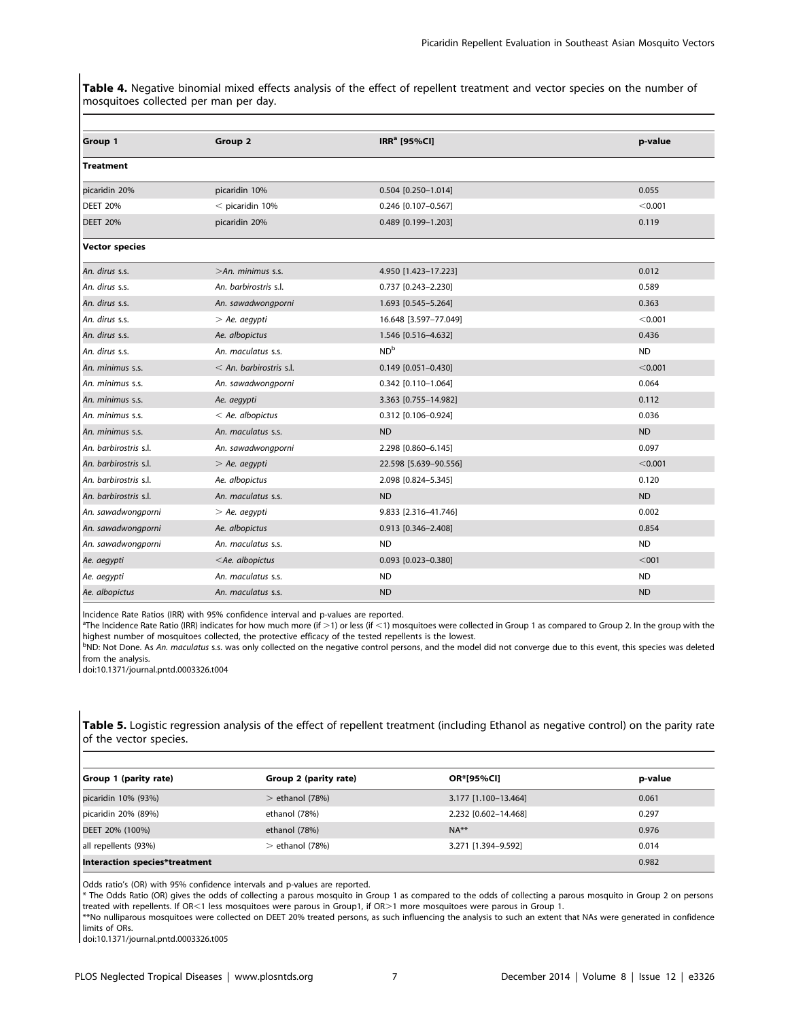Table 4. Negative binomial mixed effects analysis of the effect of repellent treatment and vector species on the number of mosquitoes collected per man per day.

| <b>Group 1</b>        | Group 2                                                                                    | IRR <sup>a</sup> [95%CI] | p-value   |
|-----------------------|--------------------------------------------------------------------------------------------|--------------------------|-----------|
| <b>Treatment</b>      |                                                                                            |                          |           |
| picaridin 20%         | picaridin 10%                                                                              | $0.504$ [0.250-1.014]    | 0.055     |
| <b>DEET 20%</b>       | $<$ picaridin 10%                                                                          | 0.246 [0.107-0.567]      | < 0.001   |
| <b>DEET 20%</b>       | picaridin 20%                                                                              | 0.489 [0.199-1.203]      | 0.119     |
| <b>Vector species</b> |                                                                                            |                          |           |
| An. dirus s.s.        | $>$ An. minimus s.s.                                                                       | 4.950 [1.423-17.223]     | 0.012     |
| An. dirus s.s.        | An. barbirostris s.l.                                                                      | 0.737 [0.243-2.230]      | 0.589     |
| An. dirus s.s.        | An. sawadwongporni                                                                         | 1.693 [0.545-5.264]      | 0.363     |
| An. dirus s.s.        | $>$ Ae. aegypti                                                                            | 16.648 [3.597-77.049]    | < 0.001   |
| An. dirus s.s.        | Ae. albopictus                                                                             | 1.546 [0.516-4.632]      | 0.436     |
| An. dirus s.s.        | An. maculatus s.s.                                                                         | ND <sup>b</sup>          | <b>ND</b> |
| An. minimus s.s.      | $<$ An. barbirostris s.l.                                                                  | 0.149 [0.051-0.430]      | < 0.001   |
| An. minimus s.s.      | An. sawadwongporni                                                                         | 0.342 [0.110-1.064]      | 0.064     |
| An. minimus s.s.      | Ae. aegypti                                                                                | 3.363 [0.755-14.982]     | 0.112     |
| An. minimus s.s.      | $<$ Ae. albopictus                                                                         | 0.312 [0.106-0.924]      | 0.036     |
| An. minimus s.s.      | An. maculatus s.s.                                                                         | <b>ND</b>                | <b>ND</b> |
| An. barbirostris s.l. | An. sawadwongporni                                                                         | 2.298 [0.860-6.145]      | 0.097     |
| An. barbirostris s.l. | $>$ Ae. aegypti                                                                            | 22.598 [5.639-90.556]    | < 0.001   |
| An. barbirostris s.l. | Ae. albopictus                                                                             | 2.098 [0.824-5.345]      | 0.120     |
| An. barbirostris s.l. | An. maculatus s.s.                                                                         | <b>ND</b>                | <b>ND</b> |
| An. sawadwongporni    | $>$ Ae. aegypti                                                                            | 9.833 [2.316-41.746]     | 0.002     |
| An. sawadwongporni    | Ae. albopictus                                                                             | 0.913 [0.346-2.408]      | 0.854     |
| An. sawadwongporni    | An. maculatus s.s.                                                                         | <b>ND</b>                | <b>ND</b> |
| Ae. aegypti           | <ae. albopictus<="" td=""><td><math>0.093</math> [0.023-0.380]</td><td>&lt; 001</td></ae.> | $0.093$ [0.023-0.380]    | < 001     |
| Ae. aegypti           | An. maculatus s.s.                                                                         | <b>ND</b>                | <b>ND</b> |
| Ae. albopictus        | An. maculatus s.s.                                                                         | <b>ND</b>                | <b>ND</b> |

Incidence Rate Ratios (IRR) with 95% confidence interval and p-values are reported.

<sup>a</sup>The Incidence Rate Ratio (IRR) indicates for how much more (if >1) or less (if <1) mosquitoes were collected in Group 1 as compared to Group 2. In the group with the highest number of mosquitoes collected, the protective efficacy of the tested repellents is the lowest.

<sup>b</sup>ND: Not Done. As An. maculatus s.s. was only collected on the negative control persons, and the model did not converge due to this event, this species was deleted from the analysis.

doi:10.1371/journal.pntd.0003326.t004

Table 5. Logistic regression analysis of the effect of repellent treatment (including Ethanol as negative control) on the parity rate of the vector species.

| Group 1 (parity rate)         | Group 2 (parity rate) | <b>OR*[95%CI]</b>    | p-value |
|-------------------------------|-----------------------|----------------------|---------|
| picaridin 10% (93%)           | $>$ ethanol (78%)     | 3.177 [1.100-13.464] | 0.061   |
| picaridin 20% (89%)           | ethanol (78%)         | 2.232 [0.602-14.468] | 0.297   |
| DEET 20% (100%)               | ethanol (78%)         | $NA**$               | 0.976   |
| all repellents (93%)          | $>$ ethanol (78%)     | 3.271 [1.394-9.592]  | 0.014   |
| Interaction species*treatment |                       | 0.982                |         |

Odds ratio's (OR) with 95% confidence intervals and p-values are reported.

\* The Odds Ratio (OR) gives the odds of collecting a parous mosquito in Group 1 as compared to the odds of collecting a parous mosquito in Group 2 on persons treated with repellents. If OR<1 less mosquitoes were parous in Group1, if OR>1 more mosquitoes were parous in Group 1.

\*\*No nulliparous mosquitoes were collected on DEET 20% treated persons, as such influencing the analysis to such an extent that NAs were generated in confidence limits of ORs.

doi:10.1371/journal.pntd.0003326.t005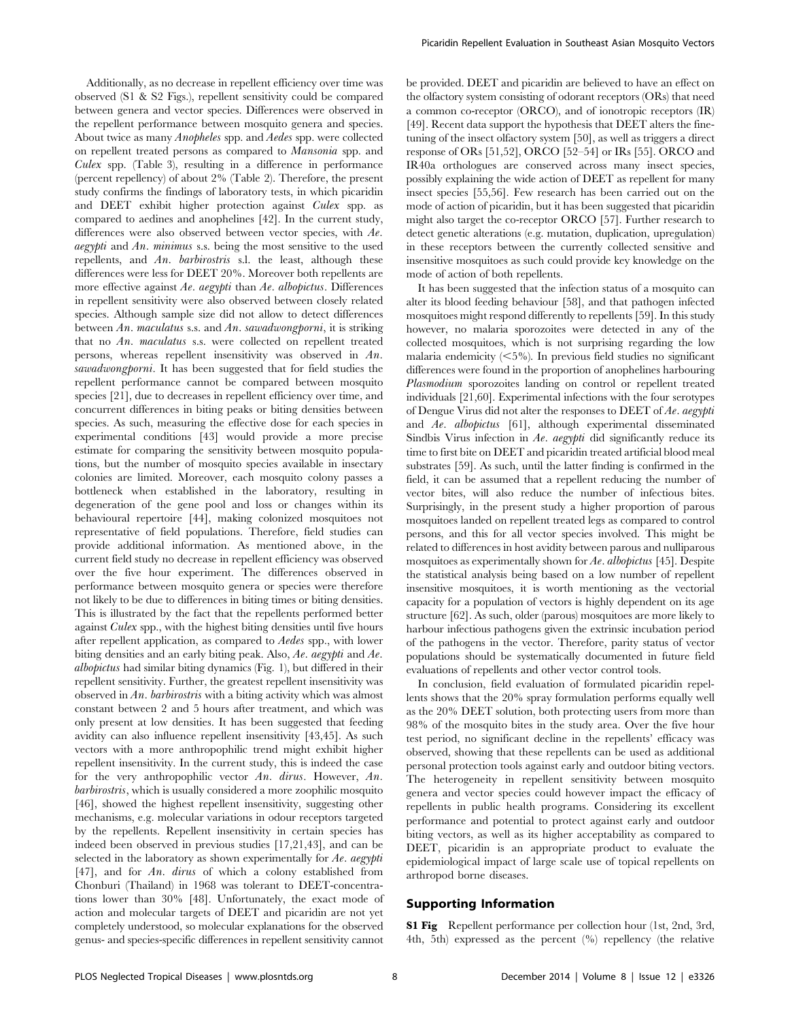Additionally, as no decrease in repellent efficiency over time was observed (S1 & S2 Figs.), repellent sensitivity could be compared between genera and vector species. Differences were observed in the repellent performance between mosquito genera and species. About twice as many Anopheles spp. and Aedes spp. were collected on repellent treated persons as compared to Mansonia spp. and Culex spp. (Table 3), resulting in a difference in performance (percent repellency) of about 2% (Table 2). Therefore, the present study confirms the findings of laboratory tests, in which picaridin and DEET exhibit higher protection against Culex spp. as compared to aedines and anophelines [42]. In the current study, differences were also observed between vector species, with  $Ae$ . *aegypti* and  $An$ . minimus s.s. being the most sensitive to the used repellents, and An. barbirostris s.l. the least, although these differences were less for DEET 20%. Moreover both repellents are more effective against Ae. aegypti than Ae. albopictus. Differences in repellent sensitivity were also observed between closely related species. Although sample size did not allow to detect differences between An. maculatus s.s. and An. sawadwongporni, it is striking that no An. maculatus s.s. were collected on repellent treated persons, whereas repellent insensitivity was observed in An. sawadwongporni. It has been suggested that for field studies the repellent performance cannot be compared between mosquito species [21], due to decreases in repellent efficiency over time, and concurrent differences in biting peaks or biting densities between species. As such, measuring the effective dose for each species in experimental conditions [43] would provide a more precise estimate for comparing the sensitivity between mosquito populations, but the number of mosquito species available in insectary colonies are limited. Moreover, each mosquito colony passes a bottleneck when established in the laboratory, resulting in degeneration of the gene pool and loss or changes within its behavioural repertoire [44], making colonized mosquitoes not representative of field populations. Therefore, field studies can provide additional information. As mentioned above, in the current field study no decrease in repellent efficiency was observed over the five hour experiment. The differences observed in performance between mosquito genera or species were therefore not likely to be due to differences in biting times or biting densities. This is illustrated by the fact that the repellents performed better against Culex spp., with the highest biting densities until five hours after repellent application, as compared to Aedes spp., with lower biting densities and an early biting peak. Also, Ae. aegypti and Ae. albopictus had similar biting dynamics (Fig. 1), but differed in their repellent sensitivity. Further, the greatest repellent insensitivity was observed in  $An$ . barbirostris with a biting activity which was almost constant between 2 and 5 hours after treatment, and which was only present at low densities. It has been suggested that feeding avidity can also influence repellent insensitivity [43,45]. As such vectors with a more anthropophilic trend might exhibit higher repellent insensitivity. In the current study, this is indeed the case for the very anthropophilic vector An. dirus. However, An. barbirostris, which is usually considered a more zoophilic mosquito [46], showed the highest repellent insensitivity, suggesting other mechanisms, e.g. molecular variations in odour receptors targeted by the repellents. Repellent insensitivity in certain species has indeed been observed in previous studies [17,21,43], and can be selected in the laboratory as shown experimentally for  $Ae$ .  $aegypti$ [47], and for An. dirus of which a colony established from Chonburi (Thailand) in 1968 was tolerant to DEET-concentrations lower than 30% [48]. Unfortunately, the exact mode of action and molecular targets of DEET and picaridin are not yet completely understood, so molecular explanations for the observed genus- and species-specific differences in repellent sensitivity cannot

be provided. DEET and picaridin are believed to have an effect on the olfactory system consisting of odorant receptors (ORs) that need a common co-receptor (ORCO), and of ionotropic receptors (IR) [49]. Recent data support the hypothesis that DEET alters the finetuning of the insect olfactory system [50], as well as triggers a direct response of ORs [51,52], ORCO [52–54] or IRs [55]. ORCO and IR40a orthologues are conserved across many insect species, possibly explaining the wide action of DEET as repellent for many insect species [55,56]. Few research has been carried out on the mode of action of picaridin, but it has been suggested that picaridin might also target the co-receptor ORCO [57]. Further research to detect genetic alterations (e.g. mutation, duplication, upregulation) in these receptors between the currently collected sensitive and insensitive mosquitoes as such could provide key knowledge on the mode of action of both repellents.

It has been suggested that the infection status of a mosquito can alter its blood feeding behaviour [58], and that pathogen infected mosquitoes might respond differently to repellents [59]. In this study however, no malaria sporozoites were detected in any of the collected mosquitoes, which is not surprising regarding the low malaria endemicity  $(<5\%)$ . In previous field studies no significant differences were found in the proportion of anophelines harbouring Plasmodium sporozoites landing on control or repellent treated individuals [21,60]. Experimental infections with the four serotypes of Dengue Virus did not alter the responses to DEET of Ae. aegypti and Ae. albopictus [61], although experimental disseminated Sindbis Virus infection in  $Ae$ . aegypti did significantly reduce its time to first bite on DEET and picaridin treated artificial blood meal substrates [59]. As such, until the latter finding is confirmed in the field, it can be assumed that a repellent reducing the number of vector bites, will also reduce the number of infectious bites. Surprisingly, in the present study a higher proportion of parous mosquitoes landed on repellent treated legs as compared to control persons, and this for all vector species involved. This might be related to differences in host avidity between parous and nulliparous mosquitoes as experimentally shown for Ae. albopictus [45]. Despite the statistical analysis being based on a low number of repellent insensitive mosquitoes, it is worth mentioning as the vectorial capacity for a population of vectors is highly dependent on its age structure [62]. As such, older (parous) mosquitoes are more likely to harbour infectious pathogens given the extrinsic incubation period of the pathogens in the vector. Therefore, parity status of vector populations should be systematically documented in future field evaluations of repellents and other vector control tools.

In conclusion, field evaluation of formulated picaridin repellents shows that the 20% spray formulation performs equally well as the 20% DEET solution, both protecting users from more than 98% of the mosquito bites in the study area. Over the five hour test period, no significant decline in the repellents' efficacy was observed, showing that these repellents can be used as additional personal protection tools against early and outdoor biting vectors. The heterogeneity in repellent sensitivity between mosquito genera and vector species could however impact the efficacy of repellents in public health programs. Considering its excellent performance and potential to protect against early and outdoor biting vectors, as well as its higher acceptability as compared to DEET, picaridin is an appropriate product to evaluate the epidemiological impact of large scale use of topical repellents on arthropod borne diseases.

#### Supporting Information

S1 Fig Repellent performance per collection hour (1st, 2nd, 3rd, 4th, 5th) expressed as the percent (%) repellency (the relative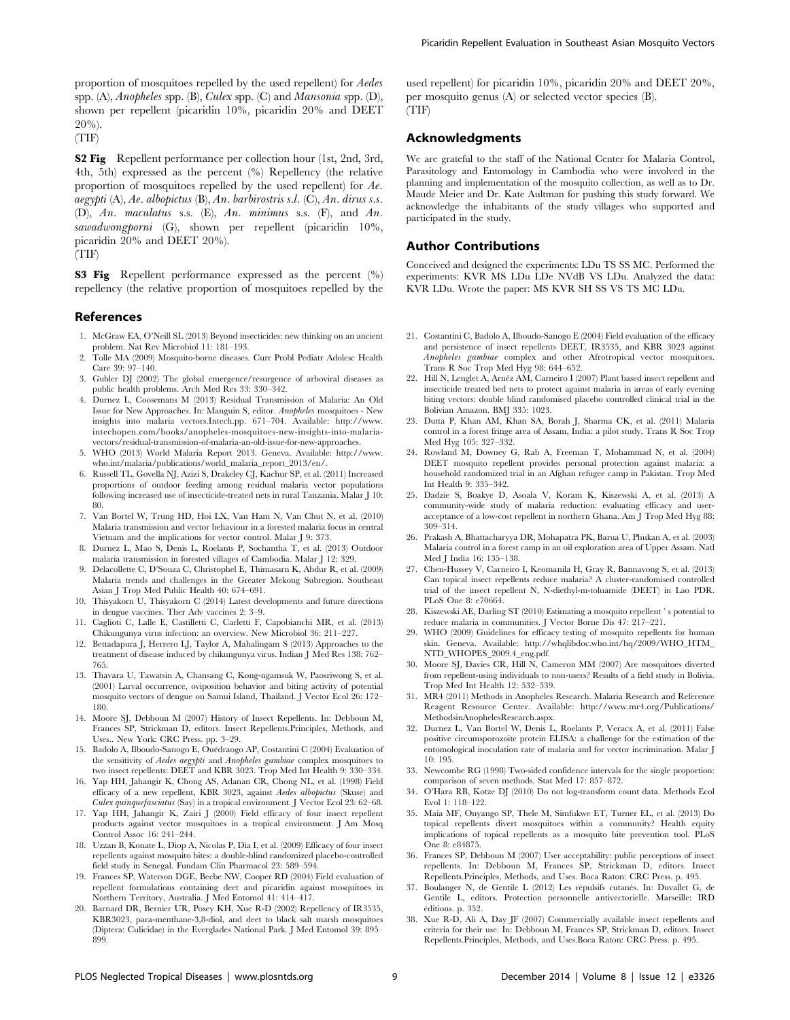proportion of mosquitoes repelled by the used repellent) for Aedes spp. (A), Anopheles spp. (B), Culex spp. (C) and Mansonia spp. (D), shown per repellent (picaridin 10%, picaridin 20% and DEET 20%).

(TIF)

S2 Fig Repellent performance per collection hour (1st, 2nd, 3rd, 4th, 5th) expressed as the percent (%) Repellency (the relative proportion of mosquitoes repelled by the used repellent) for Ae. aegypti  $(A)$ , Ae. albopictus  $(B)$ , An. barbirostris s.l.  $(C)$ , An. dirus s.s. (D), An. maculatus s.s. (E), An. minimus s.s. (F), and An. sawadwongporni (G), shown per repellent (picaridin 10%, picaridin 20% and DEET 20%).

(TIF)

S3 Fig Repellent performance expressed as the percent (%) repellency (the relative proportion of mosquitoes repelled by the

### References

- 1. McGraw EA, O'Neill SL (2013) Beyond insecticides: new thinking on an ancient problem. Nat Rev Microbiol 11: 181–193.
- 2. Tolle MA (2009) Mosquito-borne diseases. Curr Probl Pediatr Adolesc Health Care 39: 97–140.
- 3. Gubler DJ (2002) The global emergence/resurgence of arboviral diseases as public health problems. Arch Med Res 33: 330–342.
- 4. Durnez L, Coosemans M (2013) Residual Transmission of Malaria: An Old Issue for New Approaches. In: Manguin S, editor. Anopheles mosquitoes - New insights into malaria vectors.Intech.pp. 671–704. Available: [http://www.](http://www.intechopen.com/books/anopheles-mosquitoes-new-insights-into-malaria-vectors/residual-transmission-of-malaria-an-old-issue-for-new-approaches) [intechopen.com/books/anopheles-mosquitoes-new-insights-into-malaria](http://www.intechopen.com/books/anopheles-mosquitoes-new-insights-into-malaria-vectors/residual-transmission-of-malaria-an-old-issue-for-new-approaches)[vectors/residual-transmission-of-malaria-an-old-issue-for-new-approaches](http://www.intechopen.com/books/anopheles-mosquitoes-new-insights-into-malaria-vectors/residual-transmission-of-malaria-an-old-issue-for-new-approaches).
- 5. WHO (2013) World Malaria Report 2013. Geneva. Available: [http://www.](http://www.who.int/malaria/publications/world_malaria_report_2013/en/) [who.int/malaria/publications/world\\_malaria\\_report\\_2013/en/](http://www.who.int/malaria/publications/world_malaria_report_2013/en/).
- 6. Russell TL, Govella NJ, Azizi S, Drakeley CJ, Kachur SP, et al. (2011) Increased proportions of outdoor feeding among residual malaria vector populations following increased use of insecticide-treated nets in rural Tanzania. Malar J 10: 80.
- 7. Van Bortel W, Trung HD, Hoi LX, Van Ham N, Van Chut N, et al. (2010) Malaria transmission and vector behaviour in a forested malaria focus in central Vietnam and the implications for vector control. Malar J 9: 373.
- 8. Durnez L, Mao S, Denis L, Roelants P, Sochantha T, et al. (2013) Outdoor malaria transmission in forested villages of Cambodia. Malar J 12: 329.
- 9. Delacollette C, D'Souza C, Christophel E, Thimasarn K, Abdur R, et al. (2009) Malaria trends and challenges in the Greater Mekong Subregion. Southeast Asian J Trop Med Public Health 40: 674–691.
- 10. Thisyakorn U, Thisyakorn C (2014) Latest developments and future directions in dengue vaccines. Ther Adv vaccines 2: 3–9.
- 11. Caglioti C, Lalle E, Castilletti C, Carletti F, Capobianchi MR, et al. (2013) Chikungunya virus infection: an overview. New Microbiol 36: 211–227.
- 12. Bettadapura J, Herrero LJ, Taylor A, Mahalingam S (2013) Approaches to the treatment of disease induced by chikungunya virus. Indian J Med Res 138: 762– 765.
- 13. Thavara U, Tawatsin A, Chansang C, Kong-ngamsuk W, Paosriwong S, et al. (2001) Larval occurrence, oviposition behavior and biting activity of potential mosquito vectors of dengue on Samui Island, Thailand. J Vector Ecol 26: 172– 180.
- 14. Moore SJ, Debboun M (2007) History of Insect Repellents. In: Debboun M, Frances SP, Strickman D, editors. Insect Repellents.Principles, Methods, and Uses.. New York: CRC Press. pp. 3–29.
- 15. Badolo A, Ilboudo-Sanogo E, Oue´draogo AP, Costantini C (2004) Evaluation of the sensitivity of Aedes aegypti and Anopheles gambiae complex mosquitoes to two insect repellents: DEET and KBR 3023. Trop Med Int Health 9: 330–334.
- 16. Yap HH, Jahangir K, Chong AS, Adanan CR, Chong NL, et al. (1998) Field efficacy of a new repellent, KBR 3023, against Aedes albopictus (Skuse) and Culex quinquefasciatus (Say) in a tropical environment. J Vector Ecol 23: 62–68.
- 17. Yap HH, Jahangir K, Zairi J (2000) Field efficacy of four insect repellent products against vector mosquitoes in a tropical environment. J Am Mosq Control Assoc 16: 241–244.
- 18. Uzzan B, Konate L, Diop A, Nicolas P, Dia I, et al. (2009) Efficacy of four insect repellents against mosquito bites: a double-blind randomized placebo-controlled field study in Senegal. Fundam Clin Pharmacol 23: 589–594.
- 19. Frances SP, Waterson DGE, Beebe NW, Cooper RD (2004) Field evaluation of repellent formulations containing deet and picaridin against mosquitoes in Northern Territory, Australia. J Med Entomol 41: 414–417.
- 20. Barnard DR, Bernier UR, Posey KH, Xue R-D (2002) Repellency of IR3535, KBR3023, para-menthane-3,8-diol, and deet to black salt marsh mosquitoes (Diptera: Culicidae) in the Everglades National Park. J Med Entomol 39: 895– 899.

used repellent) for picaridin 10%, picaridin 20% and DEET 20%, per mosquito genus (A) or selected vector species (B). (TIF)

#### Acknowledgments

We are grateful to the staff of the National Center for Malaria Control, Parasitology and Entomology in Cambodia who were involved in the planning and implementation of the mosquito collection, as well as to Dr. Maude Meier and Dr. Kate Aultman for pushing this study forward. We acknowledge the inhabitants of the study villages who supported and participated in the study.

#### Author Contributions

Conceived and designed the experiments: LDu TS SS MC. Performed the experiments: KVR MS LDu LDe NVdB VS LDu. Analyzed the data: KVR LDu. Wrote the paper: MS KVR SH SS VS TS MC LDu.

- 21. Costantini C, Badolo A, Ilboudo-Sanogo E (2004) Field evaluation of the efficacy and persistence of insect repellents DEET, IR3535, and KBR 3023 against Anopheles gambiae complex and other Afrotropical vector mosquitoes. Trans R Soc Trop Med Hyg 98: 644–652.
- 22. Hill N, Lenglet A, Arnéz AM, Carneiro I (2007) Plant based insect repellent and insecticide treated bed nets to protect against malaria in areas of early evening biting vectors: double blind randomised placebo controlled clinical trial in the Bolivian Amazon. BMJ 335: 1023.
- 23. Dutta P, Khan AM, Khan SA, Borah J, Sharma CK, et al. (2011) Malaria control in a forest fringe area of Assam, India: a pilot study. Trans R Soc Trop Med Hyg 105: 327–332.
- 24. Rowland M, Downey G, Rab A, Freeman T, Mohammad N, et al. (2004) DEET mosquito repellent provides personal protection against malaria: a household randomized trial in an Afghan refugee camp in Pakistan. Trop Med Int Health 9: 335–342.
- 25. Dadzie S, Boakye D, Asoala V, Koram K, Kiszewski A, et al. (2013) A community-wide study of malaria reduction: evaluating efficacy and useracceptance of a low-cost repellent in northern Ghana. Am J Trop Med Hyg 88: 309–314.
- 26. Prakash A, Bhattacharyya DR, Mohapatra PK, Barua U, Phukan A, et al. (2003) Malaria control in a forest camp in an oil exploration area of Upper Assam. Natl Med J India 16: 135–138.
- 27. Chen-Hussey V, Carneiro I, Keomanila H, Gray R, Bannavong S, et al. (2013) Can topical insect repellents reduce malaria? A cluster-randomised controlled trial of the insect repellent N, N-diethyl-m-toluamide (DEET) in Lao PDR. PLoS One 8: e70664.
- 28. Kiszewski AE, Darling ST (2010) Estimating a mosquito repellent ' s potential to reduce malaria in communities. J Vector Borne Dis 47: 217–221.
- 29. WHO (2009) Guidelines for efficacy testing of mosquito repellents for human skin. Geneva. Available: [http://whqlibdoc.who.int/hq/2009/WHO\\_HTM\\_](http://whqlibdoc.who.int/hq/2009/WHO_HTM_NTD_WHOPES_2009.4_eng.pdf) [NTD\\_WHOPES\\_2009.4\\_eng.pdf.](http://whqlibdoc.who.int/hq/2009/WHO_HTM_NTD_WHOPES_2009.4_eng.pdf)
- 30. Moore SJ, Davies CR, Hill N, Cameron MM (2007) Are mosquitoes diverted from repellent-using individuals to non-users? Results of a field study in Bolivia. Trop Med Int Health 12: 532–539.
- 31. MR4 (2011) Methods in Anopheles Research. Malaria Research and Reference Reagent Resource Center. Available: [http://www.mr4.org/Publications/](http://www.mr4.org/Publications/MethodsinAnophelesResearch.aspx) [MethodsinAnophelesResearch.aspx.](http://www.mr4.org/Publications/MethodsinAnophelesResearch.aspx)
- 32. Durnez L, Van Bortel W, Denis L, Roelants P, Veracx A, et al. (2011) False positive circumsporozoite protein ELISA: a challenge for the estimation of the entomological inoculation rate of malaria and for vector incrimination. Malar J 10: 195.
- 33. Newcombe RG (1998) Two-sided confidence intervals for the single proportion: comparison of seven methods. Stat Med 17: 857–872.
- 34. O'Hara RB, Kotze DJ (2010) Do not log-transform count data. Methods Ecol Evol 1: 118–122.
- 35. Maia MF, Onyango SP, Thele M, Simfukwe ET, Turner EL, et al. (2013) Do topical repellents divert mosquitoes within a community? Health equity implications of topical repellents as a mosquito bite prevention tool. PLoS One 8: e84875.
- 36. Frances SP, Debboun M (2007) User acceptability: public perceptions of insect repellents. In: Debboun M, Frances SP, Strickman D, editors. Insect Repellents.Principles, Methods, and Uses. Boca Raton: CRC Press. p. 495.
- 37. Boulanger N, de Gentile L (2012) Les répulsifs cutanés. In: Duvallet G, de Gentile L, editors. Protection personnelle antivectorielle. Marseille: IRD éditions. p. 352.
- 38. Xue R-D, Ali A, Day JF (2007) Commercially available insect repellents and criteria for their use. In: Debboun M, Frances SP, Strickman D, editors. Insect Repellents.Principles, Methods, and Uses.Boca Raton: CRC Press. p. 495.